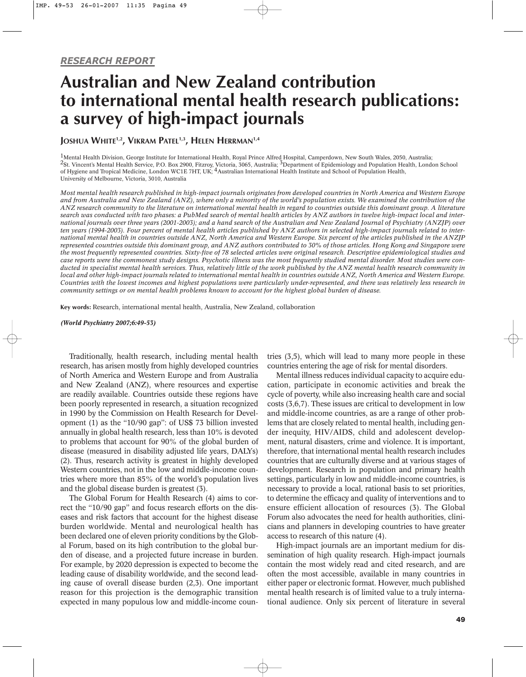# **Australian and New Zealand contribution to international mental health research publications: a survey of high-impact journals**

**JOSHUA WHITE1,2, VIKRAM PATEL1,3, HELEN HERRMAN1,4**

<sup>1</sup>Mental Health Division, George Institute for International Health, Royal Prince Alfred Hospital, Camperdown, New South Wales, 2050, Australia; 2St. Vincent's Mental Health Service, P.O. Box 2900, Fitzroy, Victoria, 3065, Australia; 3Department of Epidemiology and Population Health, London School of Hygiene and Tropical Medicine, London WC1E 7HT, UK; 4Australian International Health Institute and School of Population Health, University of Melbourne, Victoria, 3010, Australia

*Most mental health research published in high-impact journals originates from developed countries in North America and Western Europe and from Australia and New Zealand (ANZ), where only a minority of the world's population exists. We examined the contribution of the ANZ research community to the literature on international mental health in regard to countries outside this dominant group. A literature search was conducted with two phases: a PubMed search of mental health articles by ANZ authors in twelve high-impact local and international journals over three years (2001-2003); and a hand search of the Australian and New Zealand Journal of Psychiatry (ANZJP) over ten years (1994-2003). Four percent of mental health articles published by ANZ authors in selected high-impact journals related to international mental health in countries outside ANZ, North America and Western Europe. Six percent of the articles published in the ANZJP represented countries outside this dominant group, and ANZ authors contributed to 30% of those articles. Hong Kong and Singapore were the most frequently represented countries. Sixty-five of 78 selected articles were original research. Descriptive epidemiological studies and case reports were the commonest study designs. Psychotic illness was the most frequently studied mental disorder. Most studies were conducted in specialist mental health services. Thus, relatively little of the work published by the ANZ mental health research community in local and other high-impact journals related to international mental health in countries outside ANZ, North America and Western Europe. Countries with the lowest incomes and highest populations were particularly under-represented, and there was relatively less research in community settings or on mental health problems known to account for the highest global burden of disease.*

**Key words:** Research, international mental health, Australia, New Zealand, collaboration

*(World Psychiatry 2007;6:49-53)*

Traditionally, health research, including mental health research, has arisen mostly from highly developed countries of North America and Western Europe and from Australia and New Zealand (ANZ), where resources and expertise are readily available. Countries outside these regions have been poorly represented in research, a situation recognized in 1990 by the Commission on Health Research for Development (1) as the "10/90 gap": of US\$ 73 billion invested annually in global health research, less than 10% is devoted to problems that account for 90% of the global burden of disease (measured in disability adjusted life years, DALYs) (2). Thus, research activity is greatest in highly developed Western countries, not in the low and middle-income countries where more than 85% of the world's population lives and the global disease burden is greatest (3).

The Global Forum for Health Research (4) aims to correct the "10/90 gap" and focus research efforts on the diseases and risk factors that account for the highest disease burden worldwide. Mental and neurological health has been declared one of eleven priority conditions by the Global Forum, based on its high contribution to the global burden of disease, and a projected future increase in burden. For example, by 2020 depression is expected to become the leading cause of disability worldwide, and the second leading cause of overall disease burden (2,3). One important reason for this projection is the demographic transition expected in many populous low and middle-income countries (3,5), which will lead to many more people in these countries entering the age of risk for mental disorders.

Mental illness reduces individual capacity to acquire education, participate in economic activities and break the cycle of poverty, while also increasing health care and social costs (3,6,7). These issues are critical to development in low and middle-income countries, as are a range of other problems that are closely related to mental health, including gender inequity, HIV/AIDS, child and adolescent development, natural disasters, crime and violence. It is important, therefore, that international mental health research includes countries that are culturally diverse and at various stages of development. Research in population and primary health settings, particularly in low and middle-income countries, is necessary to provide a local, rational basis to set priorities, to determine the efficacy and quality of interventions and to ensure efficient allocation of resources (3). The Global Forum also advocates the need for health authorities, clinicians and planners in developing countries to have greater access to research of this nature (4).

High-impact journals are an important medium for dissemination of high quality research. High-impact journals contain the most widely read and cited research, and are often the most accessible, available in many countries in either paper or electronic format. However, much published mental health research is of limited value to a truly international audience. Only six percent of literature in several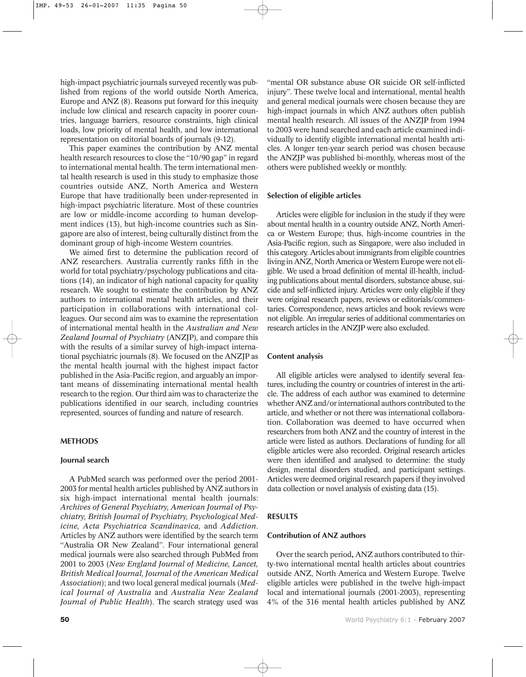high-impact psychiatric journals surveyed recently was published from regions of the world outside North America, Europe and ANZ (8). Reasons put forward for this inequity include low clinical and research capacity in poorer countries, language barriers, resource constraints, high clinical loads, low priority of mental health, and low international representation on editorial boards of journals (9-12).

This paper examines the contribution by ANZ mental health research resources to close the "10/90 gap" in regard to international mental health. The term international mental health research is used in this study to emphasize those countries outside ANZ, North America and Western Europe that have traditionally been under-represented in high-impact psychiatric literature. Most of these countries are low or middle-income according to human development indices (13), but high-income countries such as Singapore are also of interest, being culturally distinct from the dominant group of high-income Western countries.

We aimed first to determine the publication record of ANZ researchers. Australia currently ranks fifth in the world for total psychiatry/psychology publications and citations (14), an indicator of high national capacity for quality research. We sought to estimate the contribution by ANZ authors to international mental health articles, and their participation in collaborations with international colleagues. Our second aim was to examine the representation of international mental health in the *Australian and New Zealand Journal of Psychiatry* (ANZJP)*,* and compare this with the results of a similar survey of high-impact international psychiatric journals (8). We focused on the ANZJP as the mental health journal with the highest impact factor published in the Asia-Pacific region, and arguably an important means of disseminating international mental health research to the region. Our third aim was to characterize the publications identified in our search, including countries represented, sources of funding and nature of research.

## **METHODS**

## **Journal search**

A PubMed search was performed over the period 2001- 2003 for mental health articles published by ANZ authors in six high-impact international mental health journals: *Archives of General Psychiatry, American Journal of Psychiatry, British Journal of Psychiatry, Psychological Medicine, Acta Psychiatrica Scandinavica,* and *Addiction*. Articles by ANZ authors were identified by the search term "Australia OR New Zealand". Four international general medical journals were also searched through PubMed from 2001 to 2003 (*New England Journal of Medicine, Lancet, British Medical Journal, Journal of the American Medical Association*); and two local general medical journals (*Medical Journal of Australia* and *Australia New Zealand Journal of Public Health*). The search strategy used was

"mental OR substance abuse OR suicide OR self-inflicted injury". These twelve local and international, mental health and general medical journals were chosen because they are high-impact journals in which ANZ authors often publish mental health research. All issues of the ANZJP from 1994 to 2003 were hand searched and each article examined individually to identify eligible international mental health articles. A longer ten-year search period was chosen because the ANZJP was published bi-monthly, whereas most of the others were published weekly or monthly.

#### **Selection of eligible articles**

Articles were eligible for inclusion in the study if they were about mental health in a country outside ANZ, North America or Western Europe; thus, high-income countries in the Asia-Pacific region, such as Singapore, were also included in this category. Articles about immigrants from eligible countries living in ANZ, North America or Western Europe were not eligible. We used a broad definition of mental ill-health, including publications about mental disorders, substance abuse, suicide and self-inflicted injury. Articles were only eligible if they were original research papers, reviews or editorials/commentaries. Correspondence, news articles and book reviews were not eligible. An irregular series of additional commentaries on research articles in the ANZJP were also excluded.

### **Content analysis**

All eligible articles were analysed to identify several features, including the country or countries of interest in the article. The address of each author was examined to determine whether ANZ and/or international authors contributed to the article, and whether or not there was international collaboration. Collaboration was deemed to have occurred when researchers from both ANZ and the country of interest in the article were listed as authors. Declarations of funding for all eligible articles were also recorded. Original research articles were then identified and analysed to determine: the study design, mental disorders studied, and participant settings. Articles were deemed original research papers if they involved data collection or novel analysis of existing data (15).

## **RESULTS**

## **Contribution of ANZ authors**

Over the search period**,** ANZ authors contributed to thirty-two international mental health articles about countries outside ANZ, North America and Western Europe. Twelve eligible articles were published in the twelve high-impact local and international journals (2001-2003), representing 4% of the 316 mental health articles published by ANZ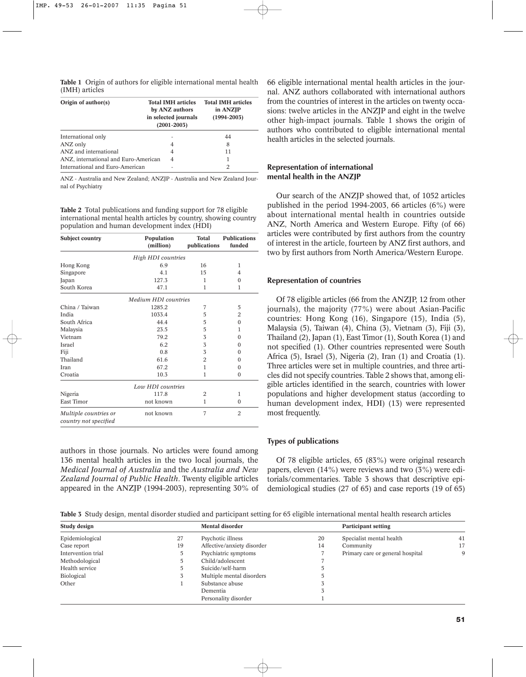|                |  |  | <b>Table 1</b> Origin of authors for eligible international mental health |  |
|----------------|--|--|---------------------------------------------------------------------------|--|
| (IMH) articles |  |  |                                                                           |  |

| Origin of author(s)                  | <b>Total IMH articles</b><br>by ANZ authors<br>in selected journals<br>$(2001 - 2003)$ | <b>Total IMH articles</b><br>in ANZJP<br>$(1994 - 2003)$ |  |
|--------------------------------------|----------------------------------------------------------------------------------------|----------------------------------------------------------|--|
| International only                   |                                                                                        | 44                                                       |  |
| ANZ only                             | 4                                                                                      | 8                                                        |  |
| ANZ and international                | 4                                                                                      | 11                                                       |  |
| ANZ, international and Euro-American | 4                                                                                      | 1                                                        |  |
| International and Euro-American      |                                                                                        | 2                                                        |  |

ANZ - Australia and New Zealand; ANZJP - Australia and New Zealand Journal of Psychiatry

**Table 2** Total publications and funding support for 78 eligible international mental health articles by country, showing country population and human development index (HDI)

| <b>Subject country</b>                         | Population<br>(million)   | <b>Total</b><br>publications | <b>Publications</b><br>funded |  |  |  |
|------------------------------------------------|---------------------------|------------------------------|-------------------------------|--|--|--|
|                                                | <b>High HDI</b> countries |                              |                               |  |  |  |
| Hong Kong                                      | 6.9                       | 16                           | 1                             |  |  |  |
| Singapore                                      | 4.1                       | 15                           | 4                             |  |  |  |
| Japan                                          | 127.3                     | 1                            | $\Omega$                      |  |  |  |
| South Korea                                    | 47.1                      | 1                            | 1                             |  |  |  |
|                                                | Medium HDI countries      |                              |                               |  |  |  |
| China / Taiwan                                 | 1285.2                    | 7                            | 5                             |  |  |  |
| India                                          | 1033.4                    | 5                            | $\overline{2}$                |  |  |  |
| South Africa                                   | 44.4                      | 5                            | $\Omega$                      |  |  |  |
| Malaysia                                       | 23.5                      | 5                            | 1                             |  |  |  |
| Vietnam                                        | 79.2                      | 3                            | $\Omega$                      |  |  |  |
| Israel                                         | 6.2                       | 3                            | $\Omega$                      |  |  |  |
| Fiji                                           | 0.8                       | 3                            | $\Omega$                      |  |  |  |
| Thailand                                       | 61.6                      | $\overline{2}$               | $\Omega$                      |  |  |  |
| Iran                                           | 67.2                      | 1                            | $\Omega$                      |  |  |  |
| Croatia                                        | 10.3                      | 1                            | $\Omega$                      |  |  |  |
|                                                | Low HDI countries         |                              |                               |  |  |  |
| Nigeria                                        | 117.8                     | 2                            | 1                             |  |  |  |
| East Timor                                     | not known                 | 1                            | $\mathbf{0}$                  |  |  |  |
| Multiple countries or<br>country not specified | not known                 | 7                            | $\overline{2}$                |  |  |  |

authors in those journals. No articles were found among 136 mental health articles in the two local journals, the *Medical Journal of Australia* and the *Australia and New Zealand Journal of Public Health*. Twenty eligible articles appeared in the ANZJP (1994-2003), representing 30% of 66 eligible international mental health articles in the journal. ANZ authors collaborated with international authors from the countries of interest in the articles on twenty occasions: twelve articles in the ANZJP and eight in the twelve other high-impact journals. Table 1 shows the origin of authors who contributed to eligible international mental health articles in the selected journals.

# **Representation of international mental health in the ANZJP**

Our search of the ANZJP showed that, of 1052 articles published in the period 1994-2003, 66 articles (6%) were about international mental health in countries outside ANZ, North America and Western Europe. Fifty (of 66) articles were contributed by first authors from the country of interest in the article, fourteen by ANZ first authors, and two by first authors from North America/Western Europe.

## **Representation of countries**

Of 78 eligible articles (66 from the ANZJP, 12 from other journals), the majority (77%) were about Asian-Pacific countries: Hong Kong (16), Singapore (15), India (5), Malaysia (5), Taiwan (4), China (3), Vietnam (3), Fiji (3), Thailand (2), Japan (1), East Timor (1), South Korea (1) and not specified (1). Other countries represented were South Africa (5), Israel (3), Nigeria (2), Iran (1) and Croatia (1). Three articles were set in multiple countries, and three articles did not specify countries. Table 2 shows that, among eligible articles identified in the search, countries with lower populations and higher development status (according to human development index, HDI) (13) were represented most frequently.

## **Types of publications**

Of 78 eligible articles, 65 (83%) were original research papers, eleven (14%) were reviews and two (3%) were editorials/commentaries. Table 3 shows that descriptive epidemiological studies (27 of 65) and case reports (19 of 65)

**Table 3** Study design, mental disorder studied and participant setting for 65 eligible international mental health research articles

| Study design       |    | <b>Mental disorder</b>     |    | <b>Participant setting</b>       |    |
|--------------------|----|----------------------------|----|----------------------------------|----|
| Epidemiological    | 27 | Psychotic illness          | 20 | Specialist mental health         | 41 |
| Case report        | 19 | Affective/anxiety disorder | 14 | Community                        | 17 |
| Intervention trial |    | Psychiatric symptoms       |    | Primary care or general hospital | 9  |
| Methodological     |    | Child/adolescent           |    |                                  |    |
| Health service     |    | Suicide/self-harm          |    |                                  |    |
| Biological         |    | Multiple mental disorders  |    |                                  |    |
| Other              |    | Substance abuse            |    |                                  |    |
|                    |    | Dementia                   |    |                                  |    |
|                    |    | Personality disorder       |    |                                  |    |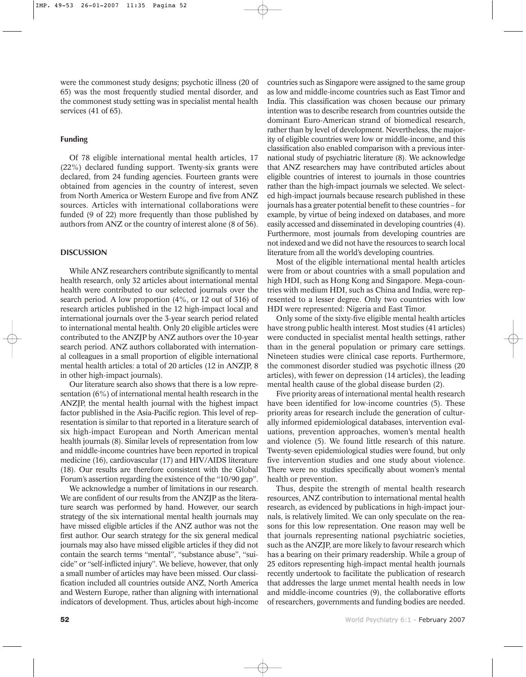were the commonest study designs; psychotic illness (20 of 65) was the most frequently studied mental disorder, and the commonest study setting was in specialist mental health services (41 of 65).

# **Funding**

Of 78 eligible international mental health articles, 17 (22%) declared funding support. Twenty-six grants were declared, from 24 funding agencies. Fourteen grants were obtained from agencies in the country of interest, seven from North America or Western Europe and five from ANZ sources. Articles with international collaborations were funded (9 of 22) more frequently than those published by authors from ANZ or the country of interest alone (8 of 56).

## **DISCUSSION**

While ANZ researchers contribute significantly to mental health research, only 32 articles about international mental health were contributed to our selected journals over the search period. A low proportion (4%, or 12 out of 316) of research articles published in the 12 high-impact local and international journals over the 3-year search period related to international mental health. Only 20 eligible articles were contributed to the ANZJP by ANZ authors over the 10-year search period. ANZ authors collaborated with international colleagues in a small proportion of eligible international mental health articles: a total of 20 articles (12 in ANZJP, 8 in other high-impact journals).

Our literature search also shows that there is a low representation (6%) of international mental health research in the ANZJP, the mental health journal with the highest impact factor published in the Asia-Pacific region. This level of representation is similar to that reported in a literature search of six high-impact European and North American mental health journals (8). Similar levels of representation from low and middle-income countries have been reported in tropical medicine (16), cardiovascular (17) and HIV/AIDS literature (18). Our results are therefore consistent with the Global Forum's assertion regarding the existence of the "10/90 gap".

We acknowledge a number of limitations in our research. We are confident of our results from the ANZJP as the literature search was performed by hand. However, our search strategy of the six international mental health journals may have missed eligible articles if the ANZ author was not the first author. Our search strategy for the six general medical journals may also have missed eligible articles if they did not contain the search terms "mental", "substance abuse", "suicide" or "self-inflicted injury". We believe, however, that only a small number of articles may have been missed. Our classification included all countries outside ANZ, North America and Western Europe, rather than aligning with international indicators of development. Thus, articles about high-income

countries such as Singapore were assigned to the same group as low and middle-income countries such as East Timor and India. This classification was chosen because our primary intention was to describe research from countries outside the dominant Euro-American strand of biomedical research, rather than by level of development. Nevertheless, the majority of eligible countries were low or middle-income, and this classification also enabled comparison with a previous international study of psychiatric literature (8). We acknowledge that ANZ researchers may have contributed articles about eligible countries of interest to journals in those countries rather than the high-impact journals we selected. We selected high-impact journals because research published in these journals has a greater potential benefit to these countries – for example, by virtue of being indexed on databases, and more easily accessed and disseminated in developing countries (4). Furthermore, most journals from developing countries are not indexed and we did not have the resources to search local literature from all the world's developing countries.

Most of the eligible international mental health articles were from or about countries with a small population and high HDI, such as Hong Kong and Singapore. Mega-countries with medium HDI, such as China and India, were represented to a lesser degree. Only two countries with low HDI were represented: Nigeria and East Timor.

Only some of the sixty-five eligible mental health articles have strong public health interest. Most studies (41 articles) were conducted in specialist mental health settings, rather than in the general population or primary care settings. Nineteen studies were clinical case reports. Furthermore, the commonest disorder studied was psychotic illness (20 articles), with fewer on depression (14 articles), the leading mental health cause of the global disease burden (2).

Five priority areas of international mental health research have been identified for low-income countries (5). These priority areas for research include the generation of culturally informed epidemiological databases, intervention evaluations, prevention approaches, women's mental health and violence (5). We found little research of this nature. Twenty-seven epidemiological studies were found, but only five intervention studies and one study about violence. There were no studies specifically about women's mental health or prevention.

Thus, despite the strength of mental health research resources, ANZ contribution to international mental health research, as evidenced by publications in high-impact journals, is relatively limited. We can only speculate on the reasons for this low representation. One reason may well be that journals representing national psychiatric societies, such as the ANZJP, are more likely to favour research which has a bearing on their primary readership. While a group of 25 editors representing high-impact mental health journals recently undertook to facilitate the publication of research that addresses the large unmet mental health needs in low and middle-income countries (9), the collaborative efforts of researchers, governments and funding bodies are needed.